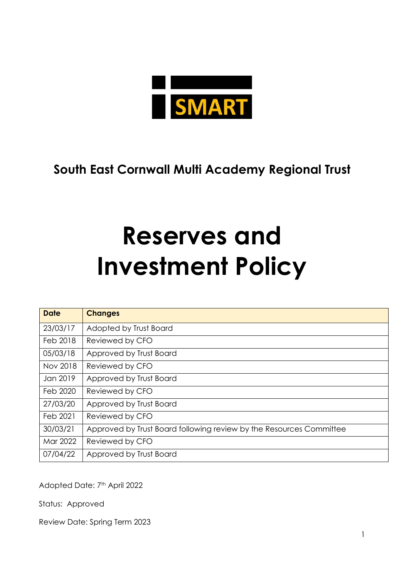

# **South East Cornwall Multi Academy Regional Trust**

# **Reserves and Investment Policy**

| <b>Date</b> | <b>Changes</b>                                                      |
|-------------|---------------------------------------------------------------------|
| 23/03/17    | Adopted by Trust Board                                              |
| Feb 2018    | Reviewed by CFO                                                     |
| 05/03/18    | Approved by Trust Board                                             |
| Nov 2018    | Reviewed by CFO                                                     |
| Jan 2019    | Approved by Trust Board                                             |
| Feb 2020    | Reviewed by CFO                                                     |
| 27/03/20    | Approved by Trust Board                                             |
| Feb 2021    | Reviewed by CFO                                                     |
| 30/03/21    | Approved by Trust Board following review by the Resources Committee |
| Mar 2022    | Reviewed by CFO                                                     |
| 07/04/22    | Approved by Trust Board                                             |

Adopted Date: 7th April 2022

Status: Approved

Review Date: Spring Term 2023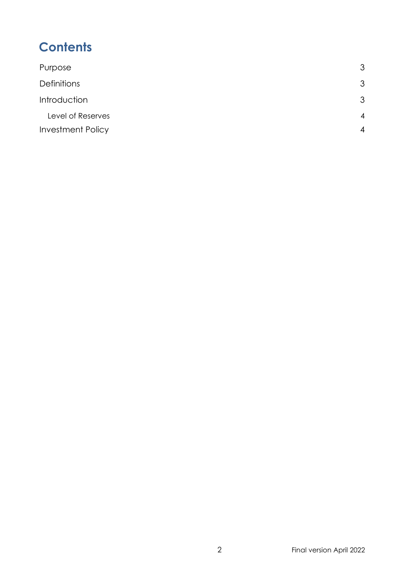# **Contents**

| Purpose                  | 3              |
|--------------------------|----------------|
| <b>Definitions</b>       | 3              |
| Introduction             |                |
| Level of Reserves        | $\overline{4}$ |
| <b>Investment Policy</b> |                |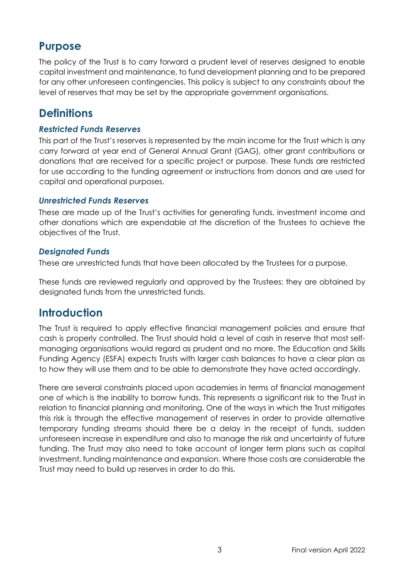### <span id="page-2-0"></span>**Purpose**

The policy of the Trust is to carry forward a prudent level of reserves designed to enable capital investment and maintenance, to fund development planning and to be prepared for any other unforeseen contingencies. This policy is subject to any constraints about the level of reserves that may be set by the appropriate government organisations.

# <span id="page-2-1"></span>**Definitions**

#### *Restricted Funds Reserves*

This part of the Trust's reserves is represented by the main income for the Trust which is any carry forward at year end of General Annual Grant (GAG), other grant contributions or donations that are received for a specific project or purpose. These funds are restricted for use according to the funding agreement or instructions from donors and are used for capital and operational purposes.

#### *Unrestricted Funds Reserves*

These are made up of the Trust's activities for generating funds, investment income and other donations which are expendable at the discretion of the Trustees to achieve the objectives of the Trust.

#### *Designated Funds*

These are unrestricted funds that have been allocated by the Trustees for a purpose.

These funds are reviewed regularly and approved by the Trustees; they are obtained by designated funds from the unrestricted funds.

## <span id="page-2-2"></span>**Introduction**

The Trust is required to apply effective financial management policies and ensure that cash is properly controlled. The Trust should hold a level of cash in reserve that most selfmanaging organisations would regard as prudent and no more. The Education and Skills Funding Agency (ESFA) expects Trusts with larger cash balances to have a clear plan as to how they will use them and to be able to demonstrate they have acted accordingly.

There are several constraints placed upon academies in terms of financial management one of which is the inability to borrow funds. This represents a significant risk to the Trust in relation to financial planning and monitoring. One of the ways in which the Trust mitigates this risk is through the effective management of reserves in order to provide alternative temporary funding streams should there be a delay in the receipt of funds, sudden unforeseen increase in expenditure and also to manage the risk and uncertainty of future funding. The Trust may also need to take account of longer term plans such as capital investment, funding maintenance and expansion. Where those costs are considerable the Trust may need to build up reserves in order to do this.